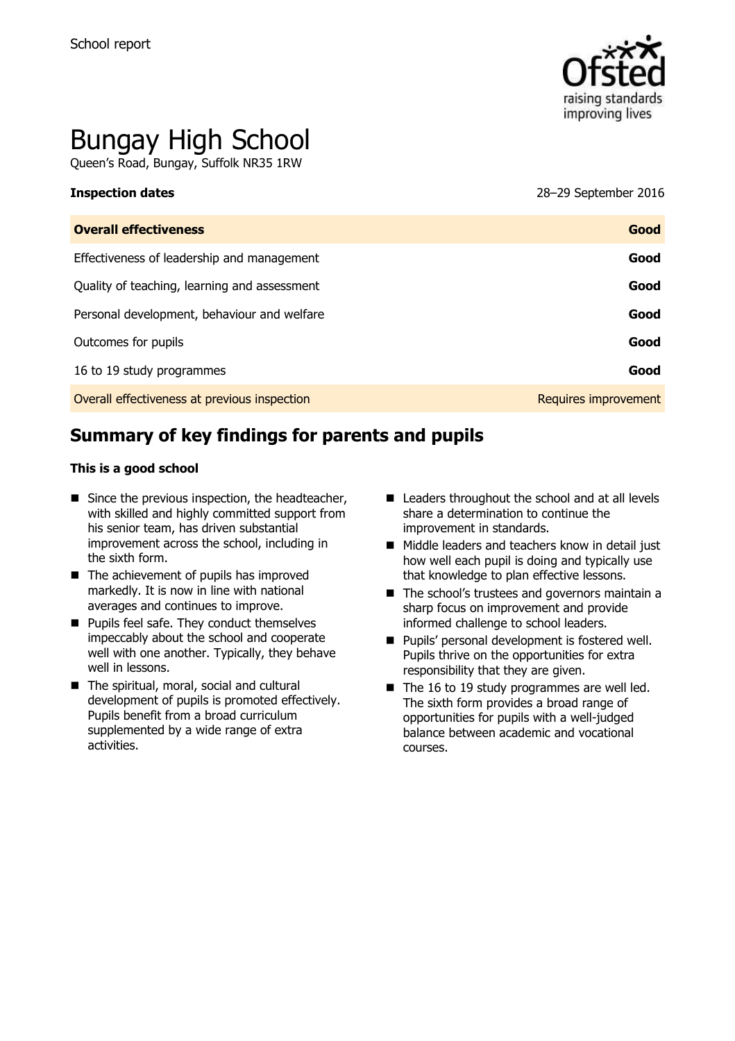

# Bungay High School

Queen's Road, Bungay, Suffolk NR35 1RW

**Inspection dates** 28–29 September 2016

| <b>Overall effectiveness</b>                 | Good                 |
|----------------------------------------------|----------------------|
| Effectiveness of leadership and management   | Good                 |
| Quality of teaching, learning and assessment | Good                 |
| Personal development, behaviour and welfare  | Good                 |
| Outcomes for pupils                          | Good                 |
| 16 to 19 study programmes                    | Good                 |
| Overall effectiveness at previous inspection | Requires improvement |

# **Summary of key findings for parents and pupils**

#### **This is a good school**

- $\blacksquare$  Since the previous inspection, the headteacher, with skilled and highly committed support from his senior team, has driven substantial improvement across the school, including in the sixth form.
- $\blacksquare$  The achievement of pupils has improved markedly. It is now in line with national averages and continues to improve.
- **Pupils feel safe. They conduct themselves** impeccably about the school and cooperate well with one another. Typically, they behave well in lessons.
- The spiritual, moral, social and cultural development of pupils is promoted effectively. Pupils benefit from a broad curriculum supplemented by a wide range of extra activities.
- Leaders throughout the school and at all levels share a determination to continue the improvement in standards.
- Middle leaders and teachers know in detail just how well each pupil is doing and typically use that knowledge to plan effective lessons.
- The school's trustees and governors maintain a sharp focus on improvement and provide informed challenge to school leaders.
- **Pupils' personal development is fostered well.** Pupils thrive on the opportunities for extra responsibility that they are given.
- $\blacksquare$  The 16 to 19 study programmes are well led. The sixth form provides a broad range of opportunities for pupils with a well-judged balance between academic and vocational courses.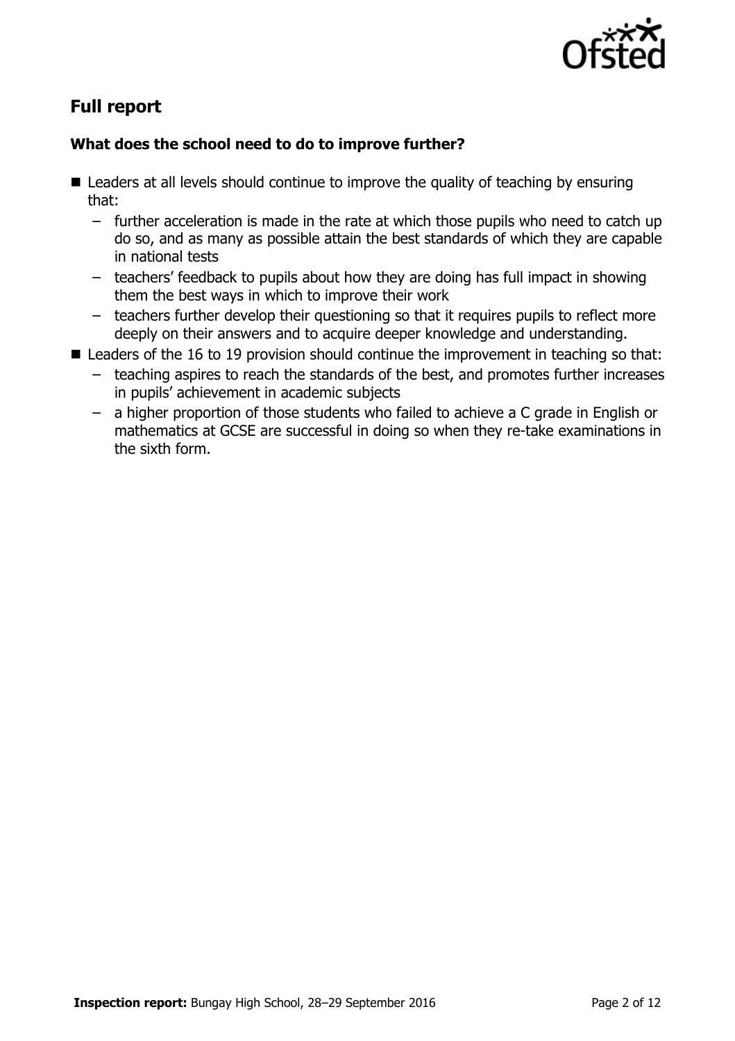

# **Full report**

### **What does the school need to do to improve further?**

- Leaders at all levels should continue to improve the quality of teaching by ensuring that:
	- further acceleration is made in the rate at which those pupils who need to catch up do so, and as many as possible attain the best standards of which they are capable in national tests
	- teachers' feedback to pupils about how they are doing has full impact in showing them the best ways in which to improve their work
	- teachers further develop their questioning so that it requires pupils to reflect more deeply on their answers and to acquire deeper knowledge and understanding.
- Leaders of the 16 to 19 provision should continue the improvement in teaching so that:
	- teaching aspires to reach the standards of the best, and promotes further increases in pupils' achievement in academic subjects
	- a higher proportion of those students who failed to achieve a C grade in English or mathematics at GCSE are successful in doing so when they re-take examinations in the sixth form.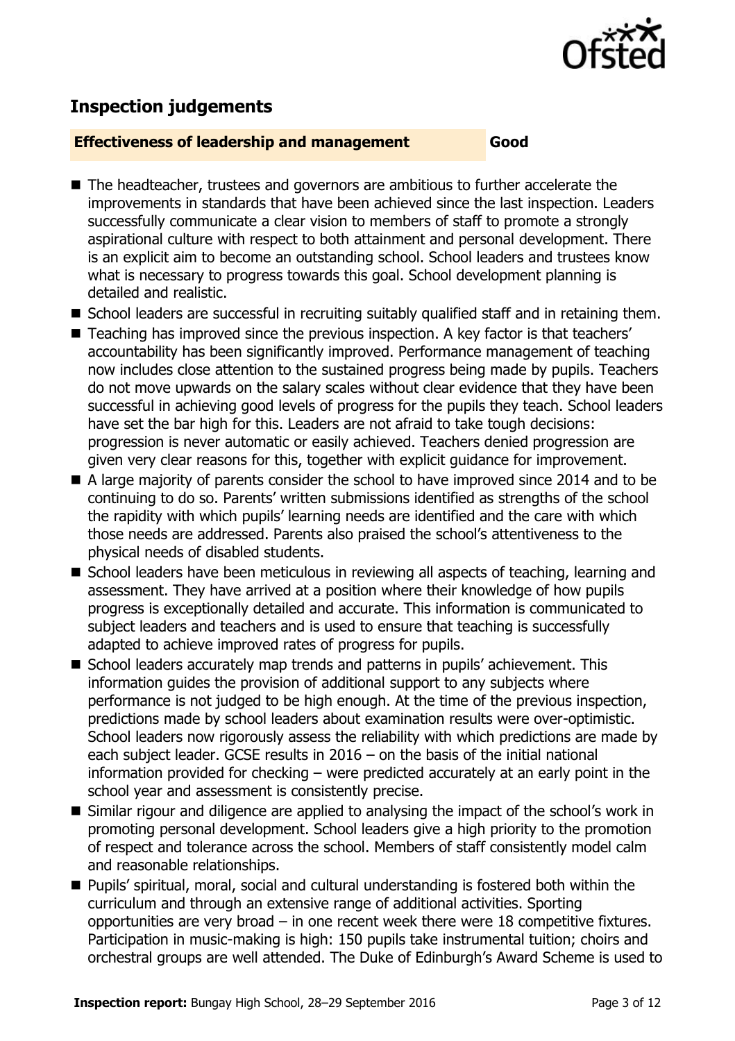

# **Inspection judgements**

#### **Effectiveness of leadership and management Good**

- The headteacher, trustees and governors are ambitious to further accelerate the improvements in standards that have been achieved since the last inspection. Leaders successfully communicate a clear vision to members of staff to promote a strongly aspirational culture with respect to both attainment and personal development. There is an explicit aim to become an outstanding school. School leaders and trustees know what is necessary to progress towards this goal. School development planning is detailed and realistic.
- School leaders are successful in recruiting suitably qualified staff and in retaining them.
- Teaching has improved since the previous inspection. A key factor is that teachers' accountability has been significantly improved. Performance management of teaching now includes close attention to the sustained progress being made by pupils. Teachers do not move upwards on the salary scales without clear evidence that they have been successful in achieving good levels of progress for the pupils they teach. School leaders have set the bar high for this. Leaders are not afraid to take tough decisions: progression is never automatic or easily achieved. Teachers denied progression are given very clear reasons for this, together with explicit guidance for improvement.
- A large majority of parents consider the school to have improved since 2014 and to be continuing to do so. Parents' written submissions identified as strengths of the school the rapidity with which pupils' learning needs are identified and the care with which those needs are addressed. Parents also praised the school's attentiveness to the physical needs of disabled students.
- School leaders have been meticulous in reviewing all aspects of teaching, learning and assessment. They have arrived at a position where their knowledge of how pupils progress is exceptionally detailed and accurate. This information is communicated to subject leaders and teachers and is used to ensure that teaching is successfully adapted to achieve improved rates of progress for pupils.
- School leaders accurately map trends and patterns in pupils' achievement. This information guides the provision of additional support to any subjects where performance is not judged to be high enough. At the time of the previous inspection, predictions made by school leaders about examination results were over-optimistic. School leaders now rigorously assess the reliability with which predictions are made by each subject leader. GCSE results in 2016 – on the basis of the initial national information provided for checking – were predicted accurately at an early point in the school year and assessment is consistently precise.
- Similar rigour and diligence are applied to analysing the impact of the school's work in promoting personal development. School leaders give a high priority to the promotion of respect and tolerance across the school. Members of staff consistently model calm and reasonable relationships.
- Pupils' spiritual, moral, social and cultural understanding is fostered both within the curriculum and through an extensive range of additional activities. Sporting opportunities are very broad – in one recent week there were 18 competitive fixtures. Participation in music-making is high: 150 pupils take instrumental tuition; choirs and orchestral groups are well attended. The Duke of Edinburgh's Award Scheme is used to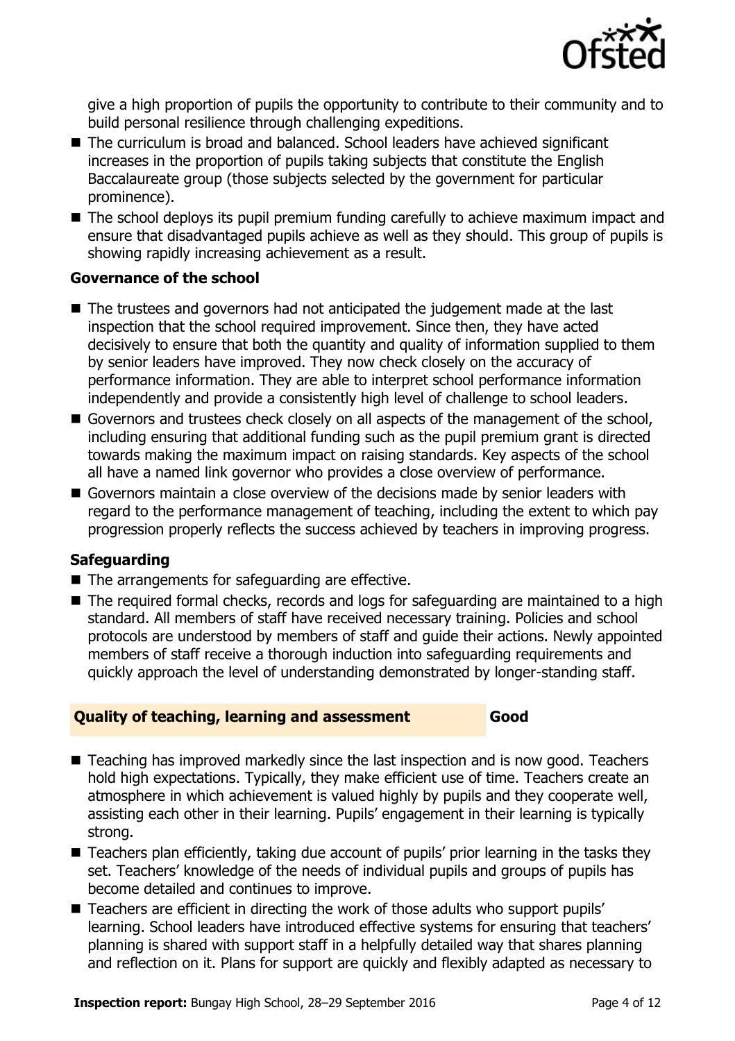

give a high proportion of pupils the opportunity to contribute to their community and to build personal resilience through challenging expeditions.

- The curriculum is broad and balanced. School leaders have achieved significant increases in the proportion of pupils taking subjects that constitute the English Baccalaureate group (those subjects selected by the government for particular prominence).
- The school deploys its pupil premium funding carefully to achieve maximum impact and ensure that disadvantaged pupils achieve as well as they should. This group of pupils is showing rapidly increasing achievement as a result.

#### **Governance of the school**

- The trustees and governors had not anticipated the judgement made at the last inspection that the school required improvement. Since then, they have acted decisively to ensure that both the quantity and quality of information supplied to them by senior leaders have improved. They now check closely on the accuracy of performance information. They are able to interpret school performance information independently and provide a consistently high level of challenge to school leaders.
- Governors and trustees check closely on all aspects of the management of the school, including ensuring that additional funding such as the pupil premium grant is directed towards making the maximum impact on raising standards. Key aspects of the school all have a named link governor who provides a close overview of performance.
- Governors maintain a close overview of the decisions made by senior leaders with regard to the performance management of teaching, including the extent to which pay progression properly reflects the success achieved by teachers in improving progress.

### **Safeguarding**

- $\blacksquare$  The arrangements for safeguarding are effective.
- The required formal checks, records and logs for safeguarding are maintained to a high standard. All members of staff have received necessary training. Policies and school protocols are understood by members of staff and guide their actions. Newly appointed members of staff receive a thorough induction into safeguarding requirements and quickly approach the level of understanding demonstrated by longer-standing staff.

#### **Quality of teaching, learning and assessment Good**

- Teaching has improved markedly since the last inspection and is now good. Teachers hold high expectations. Typically, they make efficient use of time. Teachers create an atmosphere in which achievement is valued highly by pupils and they cooperate well, assisting each other in their learning. Pupils' engagement in their learning is typically strong.
- Teachers plan efficiently, taking due account of pupils' prior learning in the tasks they set. Teachers' knowledge of the needs of individual pupils and groups of pupils has become detailed and continues to improve.
- Teachers are efficient in directing the work of those adults who support pupils' learning. School leaders have introduced effective systems for ensuring that teachers' planning is shared with support staff in a helpfully detailed way that shares planning and reflection on it. Plans for support are quickly and flexibly adapted as necessary to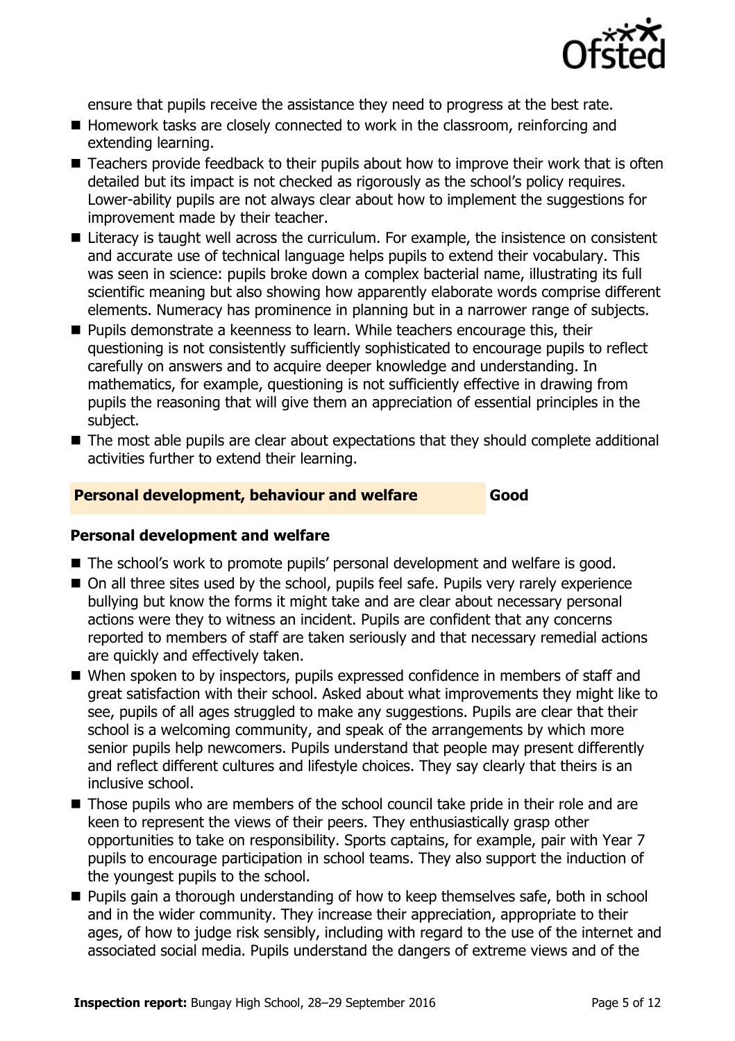

ensure that pupils receive the assistance they need to progress at the best rate.

- Homework tasks are closely connected to work in the classroom, reinforcing and extending learning.
- Teachers provide feedback to their pupils about how to improve their work that is often detailed but its impact is not checked as rigorously as the school's policy requires. Lower-ability pupils are not always clear about how to implement the suggestions for improvement made by their teacher.
- Literacy is taught well across the curriculum. For example, the insistence on consistent and accurate use of technical language helps pupils to extend their vocabulary. This was seen in science: pupils broke down a complex bacterial name, illustrating its full scientific meaning but also showing how apparently elaborate words comprise different elements. Numeracy has prominence in planning but in a narrower range of subjects.
- **Pupils demonstrate a keenness to learn. While teachers encourage this, their** questioning is not consistently sufficiently sophisticated to encourage pupils to reflect carefully on answers and to acquire deeper knowledge and understanding. In mathematics, for example, questioning is not sufficiently effective in drawing from pupils the reasoning that will give them an appreciation of essential principles in the subject.
- The most able pupils are clear about expectations that they should complete additional activities further to extend their learning.

#### **Personal development, behaviour and welfare Good**

#### **Personal development and welfare**

- The school's work to promote pupils' personal development and welfare is good.
- On all three sites used by the school, pupils feel safe. Pupils very rarely experience bullying but know the forms it might take and are clear about necessary personal actions were they to witness an incident. Pupils are confident that any concerns reported to members of staff are taken seriously and that necessary remedial actions are quickly and effectively taken.
- When spoken to by inspectors, pupils expressed confidence in members of staff and great satisfaction with their school. Asked about what improvements they might like to see, pupils of all ages struggled to make any suggestions. Pupils are clear that their school is a welcoming community, and speak of the arrangements by which more senior pupils help newcomers. Pupils understand that people may present differently and reflect different cultures and lifestyle choices. They say clearly that theirs is an inclusive school.
- Those pupils who are members of the school council take pride in their role and are keen to represent the views of their peers. They enthusiastically grasp other opportunities to take on responsibility. Sports captains, for example, pair with Year 7 pupils to encourage participation in school teams. They also support the induction of the youngest pupils to the school.
- **Pupils gain a thorough understanding of how to keep themselves safe, both in school** and in the wider community. They increase their appreciation, appropriate to their ages, of how to judge risk sensibly, including with regard to the use of the internet and associated social media. Pupils understand the dangers of extreme views and of the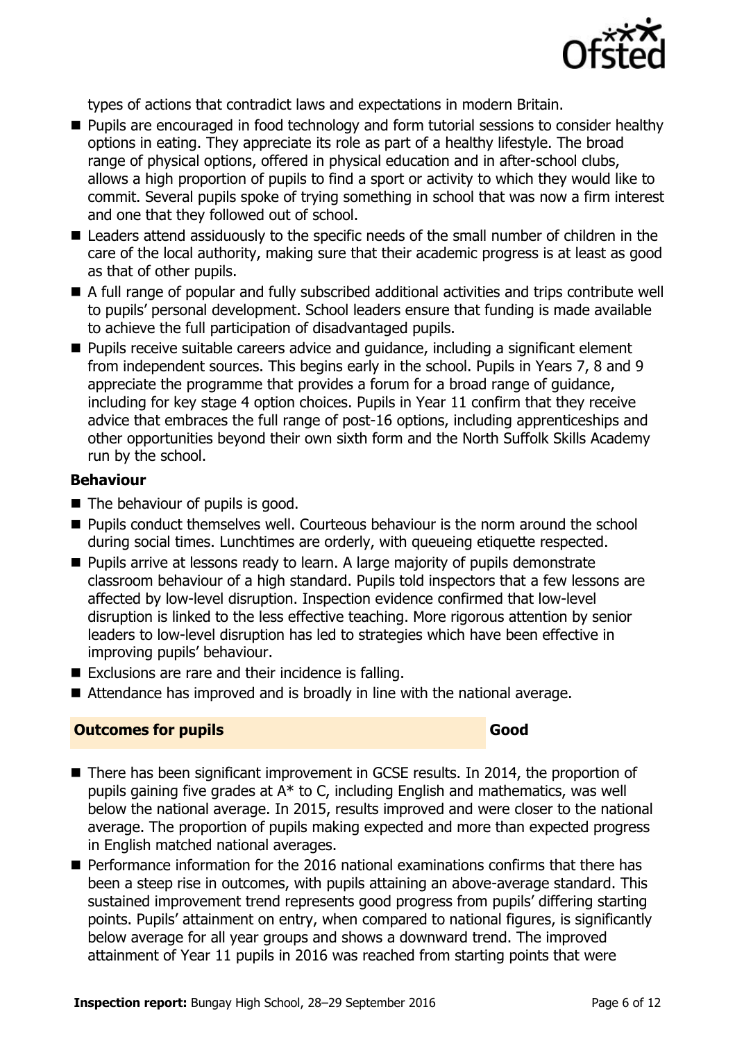

types of actions that contradict laws and expectations in modern Britain.

- **Pupils are encouraged in food technology and form tutorial sessions to consider healthy** options in eating. They appreciate its role as part of a healthy lifestyle. The broad range of physical options, offered in physical education and in after-school clubs, allows a high proportion of pupils to find a sport or activity to which they would like to commit. Several pupils spoke of trying something in school that was now a firm interest and one that they followed out of school.
- Leaders attend assiduously to the specific needs of the small number of children in the care of the local authority, making sure that their academic progress is at least as good as that of other pupils.
- A full range of popular and fully subscribed additional activities and trips contribute well to pupils' personal development. School leaders ensure that funding is made available to achieve the full participation of disadvantaged pupils.
- **Pupils receive suitable careers advice and quidance, including a significant element** from independent sources. This begins early in the school. Pupils in Years 7, 8 and 9 appreciate the programme that provides a forum for a broad range of guidance, including for key stage 4 option choices. Pupils in Year 11 confirm that they receive advice that embraces the full range of post-16 options, including apprenticeships and other opportunities beyond their own sixth form and the North Suffolk Skills Academy run by the school.

#### **Behaviour**

- The behaviour of pupils is good.
- **Pupils conduct themselves well. Courteous behaviour is the norm around the school** during social times. Lunchtimes are orderly, with queueing etiquette respected.
- **Pupils arrive at lessons ready to learn. A large majority of pupils demonstrate** classroom behaviour of a high standard. Pupils told inspectors that a few lessons are affected by low-level disruption. Inspection evidence confirmed that low-level disruption is linked to the less effective teaching. More rigorous attention by senior leaders to low-level disruption has led to strategies which have been effective in improving pupils' behaviour.
- $\blacksquare$  Exclusions are rare and their incidence is falling.
- Attendance has improved and is broadly in line with the national average.

#### **Outcomes for pupils Good Good**

- There has been significant improvement in GCSE results. In 2014, the proportion of pupils gaining five grades at A\* to C, including English and mathematics, was well below the national average. In 2015, results improved and were closer to the national average. The proportion of pupils making expected and more than expected progress in English matched national averages.
- **Performance information for the 2016 national examinations confirms that there has** been a steep rise in outcomes, with pupils attaining an above-average standard. This sustained improvement trend represents good progress from pupils' differing starting points. Pupils' attainment on entry, when compared to national figures, is significantly below average for all year groups and shows a downward trend. The improved attainment of Year 11 pupils in 2016 was reached from starting points that were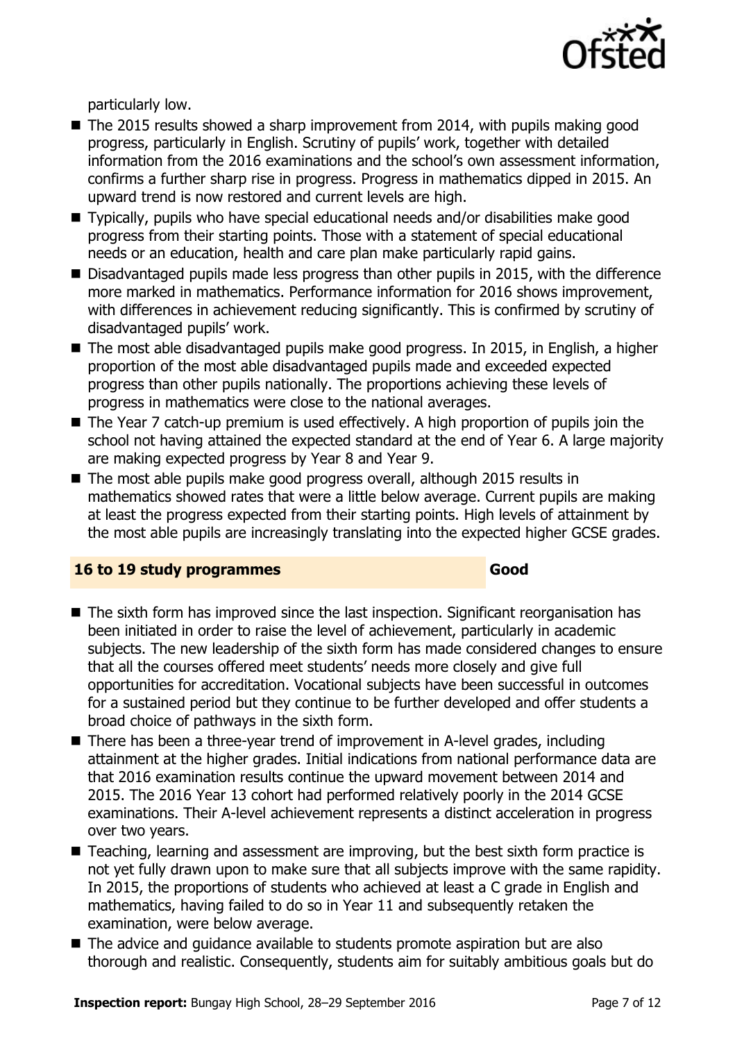

particularly low.

- $\blacksquare$  The 2015 results showed a sharp improvement from 2014, with pupils making good progress, particularly in English. Scrutiny of pupils' work, together with detailed information from the 2016 examinations and the school's own assessment information, confirms a further sharp rise in progress. Progress in mathematics dipped in 2015. An upward trend is now restored and current levels are high.
- Typically, pupils who have special educational needs and/or disabilities make good progress from their starting points. Those with a statement of special educational needs or an education, health and care plan make particularly rapid gains.
- Disadvantaged pupils made less progress than other pupils in 2015, with the difference more marked in mathematics. Performance information for 2016 shows improvement, with differences in achievement reducing significantly. This is confirmed by scrutiny of disadvantaged pupils' work.
- The most able disadvantaged pupils make good progress. In 2015, in English, a higher proportion of the most able disadvantaged pupils made and exceeded expected progress than other pupils nationally. The proportions achieving these levels of progress in mathematics were close to the national averages.
- The Year 7 catch-up premium is used effectively. A high proportion of pupils join the school not having attained the expected standard at the end of Year 6. A large majority are making expected progress by Year 8 and Year 9.
- The most able pupils make good progress overall, although 2015 results in mathematics showed rates that were a little below average. Current pupils are making at least the progress expected from their starting points. High levels of attainment by the most able pupils are increasingly translating into the expected higher GCSE grades.

#### **16 to 19 study programmes Good**

- The sixth form has improved since the last inspection. Significant reorganisation has been initiated in order to raise the level of achievement, particularly in academic subjects. The new leadership of the sixth form has made considered changes to ensure that all the courses offered meet students' needs more closely and give full opportunities for accreditation. Vocational subjects have been successful in outcomes for a sustained period but they continue to be further developed and offer students a broad choice of pathways in the sixth form.
- There has been a three-year trend of improvement in A-level grades, including attainment at the higher grades. Initial indications from national performance data are that 2016 examination results continue the upward movement between 2014 and 2015. The 2016 Year 13 cohort had performed relatively poorly in the 2014 GCSE examinations. Their A-level achievement represents a distinct acceleration in progress over two years.
- Teaching, learning and assessment are improving, but the best sixth form practice is not yet fully drawn upon to make sure that all subjects improve with the same rapidity. In 2015, the proportions of students who achieved at least a C grade in English and mathematics, having failed to do so in Year 11 and subsequently retaken the examination, were below average.
- The advice and guidance available to students promote aspiration but are also thorough and realistic. Consequently, students aim for suitably ambitious goals but do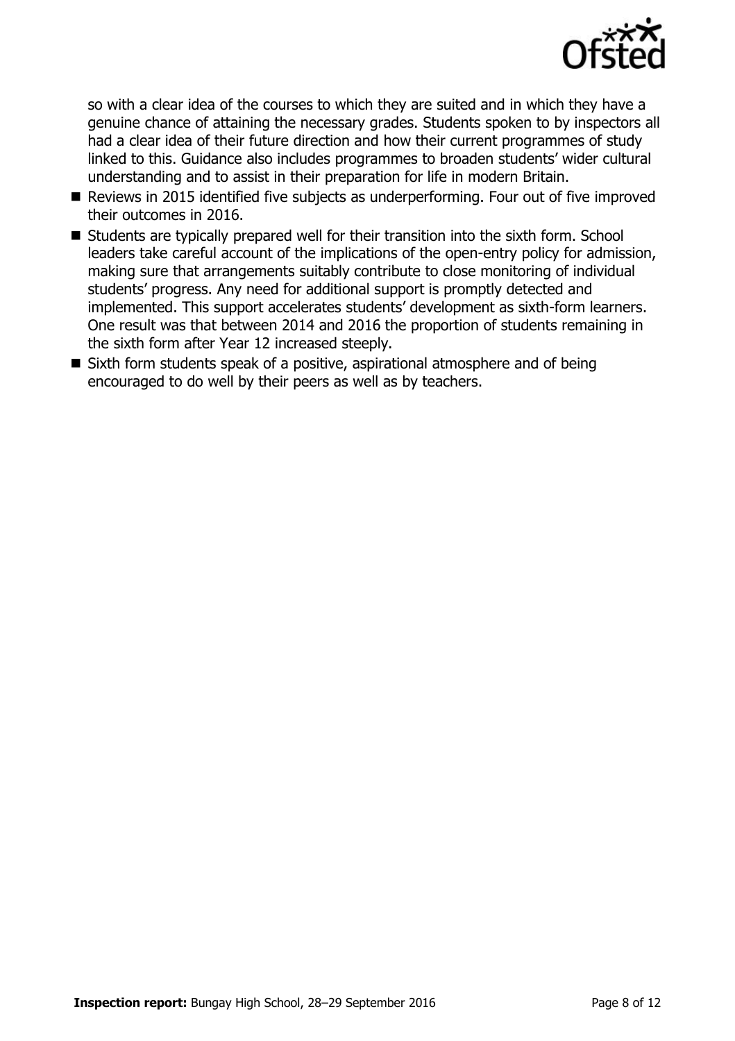

so with a clear idea of the courses to which they are suited and in which they have a genuine chance of attaining the necessary grades. Students spoken to by inspectors all had a clear idea of their future direction and how their current programmes of study linked to this. Guidance also includes programmes to broaden students' wider cultural understanding and to assist in their preparation for life in modern Britain.

- Reviews in 2015 identified five subjects as underperforming. Four out of five improved their outcomes in 2016.
- $\blacksquare$  Students are typically prepared well for their transition into the sixth form. School leaders take careful account of the implications of the open-entry policy for admission, making sure that arrangements suitably contribute to close monitoring of individual students' progress. Any need for additional support is promptly detected and implemented. This support accelerates students' development as sixth-form learners. One result was that between 2014 and 2016 the proportion of students remaining in the sixth form after Year 12 increased steeply.
- Sixth form students speak of a positive, aspirational atmosphere and of being encouraged to do well by their peers as well as by teachers.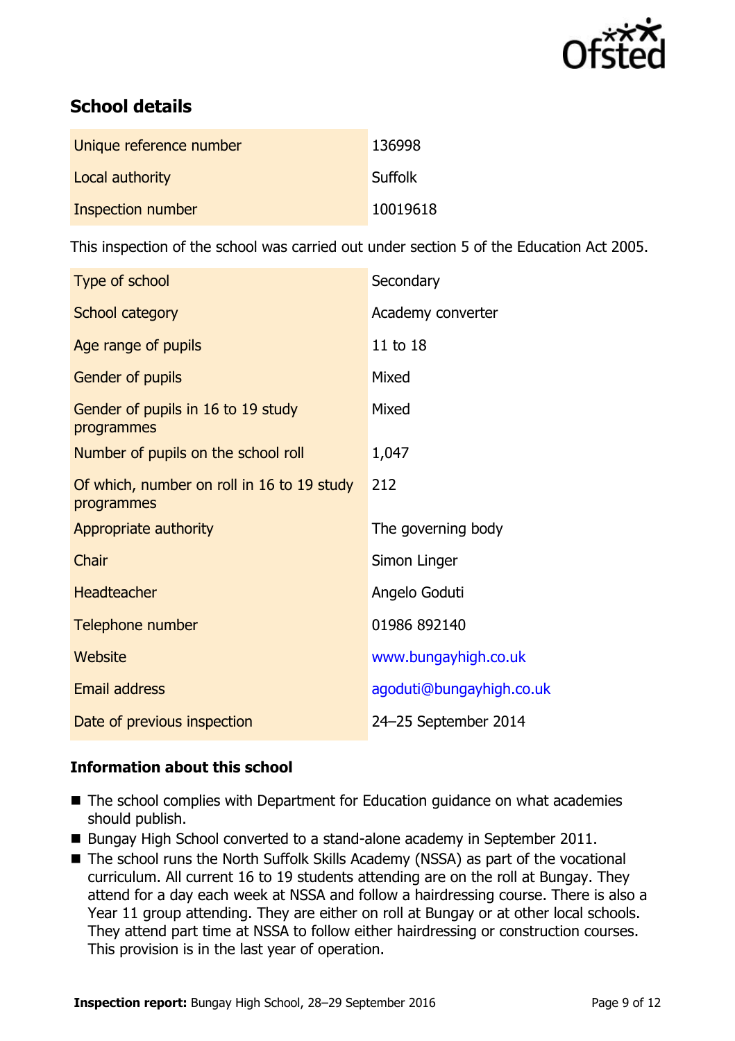

# **School details**

| Unique reference number | 136998         |
|-------------------------|----------------|
| Local authority         | <b>Suffolk</b> |
| Inspection number       | 10019618       |

This inspection of the school was carried out under section 5 of the Education Act 2005.

| Type of school                                           | Secondary                |
|----------------------------------------------------------|--------------------------|
| School category                                          | Academy converter        |
| Age range of pupils                                      | 11 to 18                 |
| Gender of pupils                                         | Mixed                    |
| Gender of pupils in 16 to 19 study<br>programmes         | Mixed                    |
| Number of pupils on the school roll                      | 1,047                    |
| Of which, number on roll in 16 to 19 study<br>programmes | 212                      |
| Appropriate authority                                    | The governing body       |
| Chair                                                    | Simon Linger             |
| <b>Headteacher</b>                                       | Angelo Goduti            |
| Telephone number                                         | 01986 892140             |
| <b>Website</b>                                           | www.bungayhigh.co.uk     |
| <b>Email address</b>                                     | agoduti@bungayhigh.co.uk |
| Date of previous inspection                              | 24-25 September 2014     |

#### **Information about this school**

- The school complies with Department for Education guidance on what academies should publish.
- Bungay High School converted to a stand-alone academy in September 2011.
- The school runs the North Suffolk Skills Academy (NSSA) as part of the vocational curriculum. All current 16 to 19 students attending are on the roll at Bungay. They attend for a day each week at NSSA and follow a hairdressing course. There is also a Year 11 group attending. They are either on roll at Bungay or at other local schools. They attend part time at NSSA to follow either hairdressing or construction courses. This provision is in the last year of operation.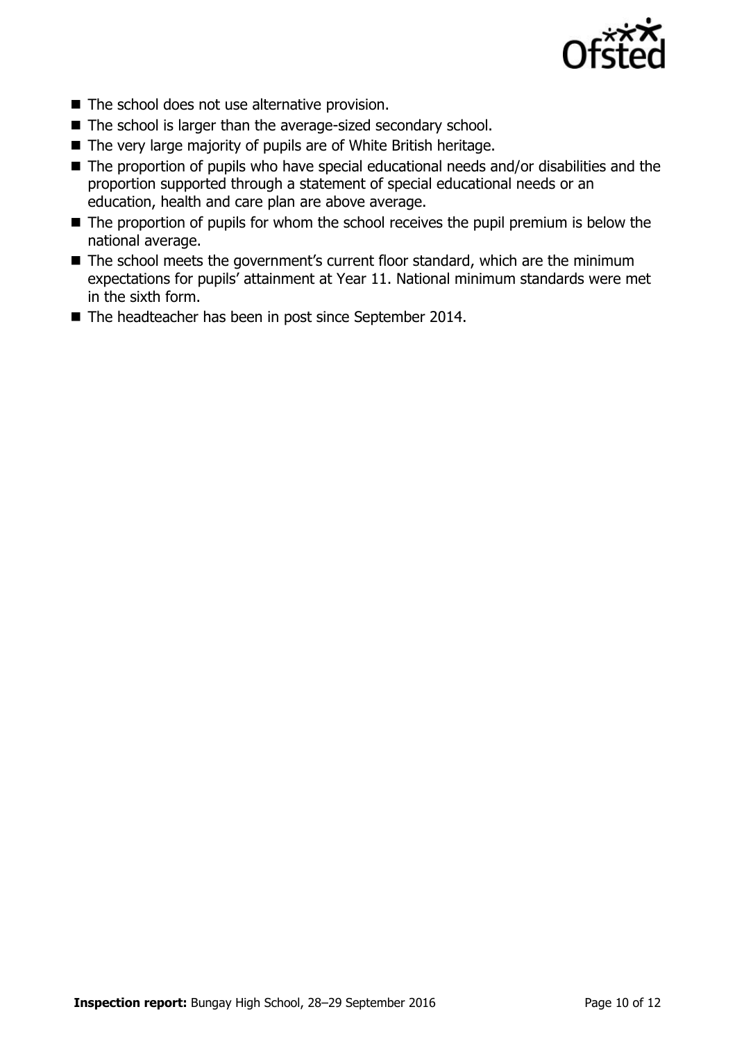

- $\blacksquare$  The school does not use alternative provision.
- The school is larger than the average-sized secondary school.
- The very large majority of pupils are of White British heritage.
- The proportion of pupils who have special educational needs and/or disabilities and the proportion supported through a statement of special educational needs or an education, health and care plan are above average.
- The proportion of pupils for whom the school receives the pupil premium is below the national average.
- $\blacksquare$  The school meets the government's current floor standard, which are the minimum expectations for pupils' attainment at Year 11. National minimum standards were met in the sixth form.
- The headteacher has been in post since September 2014.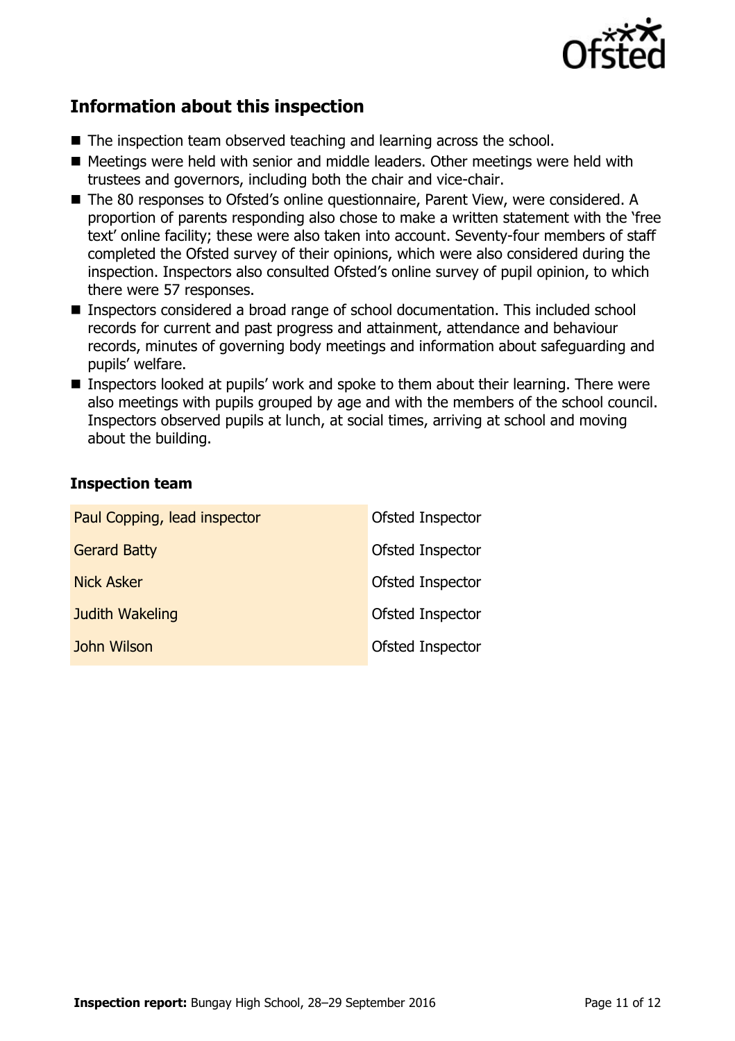

## **Information about this inspection**

- The inspection team observed teaching and learning across the school.
- Meetings were held with senior and middle leaders. Other meetings were held with trustees and governors, including both the chair and vice-chair.
- The 80 responses to Ofsted's online questionnaire, Parent View, were considered. A proportion of parents responding also chose to make a written statement with the 'free text' online facility; these were also taken into account. Seventy-four members of staff completed the Ofsted survey of their opinions, which were also considered during the inspection. Inspectors also consulted Ofsted's online survey of pupil opinion, to which there were 57 responses.
- Inspectors considered a broad range of school documentation. This included school records for current and past progress and attainment, attendance and behaviour records, minutes of governing body meetings and information about safeguarding and pupils' welfare.
- Inspectors looked at pupils' work and spoke to them about their learning. There were also meetings with pupils grouped by age and with the members of the school council. Inspectors observed pupils at lunch, at social times, arriving at school and moving about the building.

#### **Inspection team**

| Paul Copping, lead inspector | Ofsted Inspector |
|------------------------------|------------------|
| <b>Gerard Batty</b>          | Ofsted Inspector |
| <b>Nick Asker</b>            | Ofsted Inspector |
| Judith Wakeling              | Ofsted Inspector |
| John Wilson                  | Ofsted Inspector |